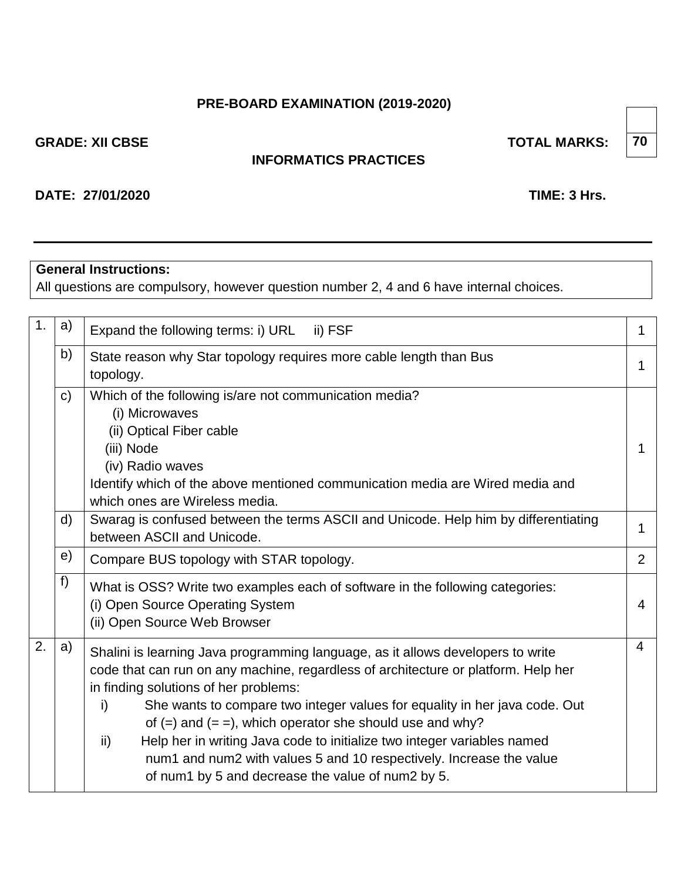## **PRE-BOARD EXAMINATION (2019-2020)**

**GRADE: XII CBSE TOTAL MARKS:** 

## **INFORMATICS PRACTICES**

## **DATE: 27/01/2020 TIME: 3 Hrs.**

## **General Instructions:**

All questions are compulsory, however question number 2, 4 and 6 have internal choices.

| 1. | a)                                                                                                                      | Expand the following terms: i) URL<br>ii) FSF                                                                                                                                                                                                                                                                                                                                                                                                                                                                                                                                    |                |  |  |  |  |  |
|----|-------------------------------------------------------------------------------------------------------------------------|----------------------------------------------------------------------------------------------------------------------------------------------------------------------------------------------------------------------------------------------------------------------------------------------------------------------------------------------------------------------------------------------------------------------------------------------------------------------------------------------------------------------------------------------------------------------------------|----------------|--|--|--|--|--|
|    | b)                                                                                                                      | State reason why Star topology requires more cable length than Bus<br>topology.                                                                                                                                                                                                                                                                                                                                                                                                                                                                                                  |                |  |  |  |  |  |
|    | $\mathsf{C}$                                                                                                            | Which of the following is/are not communication media?<br>(i) Microwaves<br>(ii) Optical Fiber cable<br>(iii) Node<br>(iv) Radio waves<br>Identify which of the above mentioned communication media are Wired media and<br>which ones are Wireless media.                                                                                                                                                                                                                                                                                                                        |                |  |  |  |  |  |
|    | Swarag is confused between the terms ASCII and Unicode. Help him by differentiating<br>d)<br>between ASCII and Unicode. |                                                                                                                                                                                                                                                                                                                                                                                                                                                                                                                                                                                  |                |  |  |  |  |  |
|    | e)                                                                                                                      | Compare BUS topology with STAR topology.                                                                                                                                                                                                                                                                                                                                                                                                                                                                                                                                         | $\overline{2}$ |  |  |  |  |  |
|    | f)                                                                                                                      | What is OSS? Write two examples each of software in the following categories:<br>(i) Open Source Operating System<br>(ii) Open Source Web Browser                                                                                                                                                                                                                                                                                                                                                                                                                                | 4              |  |  |  |  |  |
| 2. | a)                                                                                                                      | Shalini is learning Java programming language, as it allows developers to write<br>code that can run on any machine, regardless of architecture or platform. Help her<br>in finding solutions of her problems:<br>She wants to compare two integer values for equality in her java code. Out<br>i)<br>of $(=)$ and $(==)$ , which operator she should use and why?<br>Help her in writing Java code to initialize two integer variables named<br>ii)<br>num1 and num2 with values 5 and 10 respectively. Increase the value<br>of num1 by 5 and decrease the value of num2 by 5. | $\overline{4}$ |  |  |  |  |  |

**70**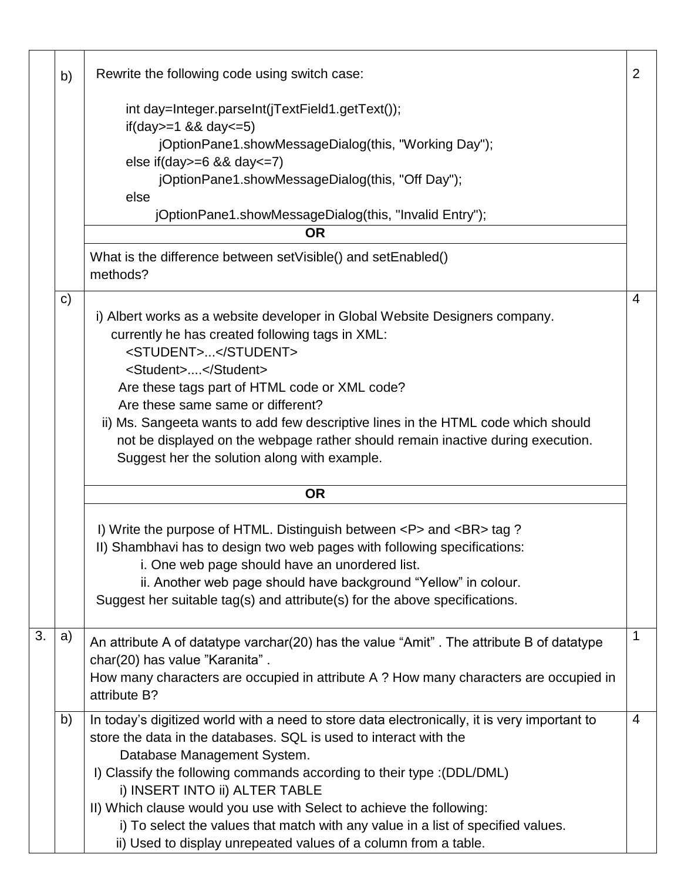|    | b)           | Rewrite the following code using switch case:                                                                                                                                                                                                                                                                                                                                        | $\overline{2}$ |
|----|--------------|--------------------------------------------------------------------------------------------------------------------------------------------------------------------------------------------------------------------------------------------------------------------------------------------------------------------------------------------------------------------------------------|----------------|
|    |              | int day=Integer.parseInt(jTextField1.getText());<br>if(day>=1 && day<=5)                                                                                                                                                                                                                                                                                                             |                |
|    |              | jOptionPane1.showMessageDialog(this, "Working Day");                                                                                                                                                                                                                                                                                                                                 |                |
|    |              | else if $\frac{day}{=6}$ && day $\leq$ 7)<br>jOptionPane1.showMessageDialog(this, "Off Day");                                                                                                                                                                                                                                                                                        |                |
|    |              | else<br>jOptionPane1.showMessageDialog(this, "Invalid Entry");                                                                                                                                                                                                                                                                                                                       |                |
|    |              | <b>OR</b>                                                                                                                                                                                                                                                                                                                                                                            |                |
|    |              | What is the difference between setVisible() and setEnabled()<br>methods?                                                                                                                                                                                                                                                                                                             |                |
|    | $\mathbf{C}$ |                                                                                                                                                                                                                                                                                                                                                                                      | 4              |
|    |              | i) Albert works as a website developer in Global Website Designers company.<br>currently he has created following tags in XML:<br><student></student>                                                                                                                                                                                                                                |                |
|    |              | <student></student><br>Are these tags part of HTML code or XML code?                                                                                                                                                                                                                                                                                                                 |                |
|    |              | Are these same same or different?<br>ii) Ms. Sangeeta wants to add few descriptive lines in the HTML code which should<br>not be displayed on the webpage rather should remain inactive during execution.<br>Suggest her the solution along with example.                                                                                                                            |                |
|    |              | <b>OR</b>                                                                                                                                                                                                                                                                                                                                                                            |                |
|    |              | I) Write the purpose of HTML. Distinguish between <p> and <br/> tag ?<br/>II) Shambhavi has to design two web pages with following specifications:<br/>i. One web page should have an unordered list.<br/>ii. Another web page should have background "Yellow" in colour.<br/>Suggest her suitable tag(s) and attribute(s) for the above specifications.</p>                         |                |
| 3. | a)           | An attribute A of datatype varchar(20) has the value "Amit". The attribute B of datatype<br>char(20) has value "Karanita".<br>How many characters are occupied in attribute A ? How many characters are occupied in<br>attribute B?                                                                                                                                                  | 1              |
|    | b)           | In today's digitized world with a need to store data electronically, it is very important to<br>store the data in the databases. SQL is used to interact with the<br>Database Management System.<br>I) Classify the following commands according to their type : (DDL/DML)<br>i) INSERT INTO ii) ALTER TABLE<br>II) Which clause would you use with Select to achieve the following: | $\overline{4}$ |
|    |              | i) To select the values that match with any value in a list of specified values.<br>ii) Used to display unrepeated values of a column from a table.                                                                                                                                                                                                                                  |                |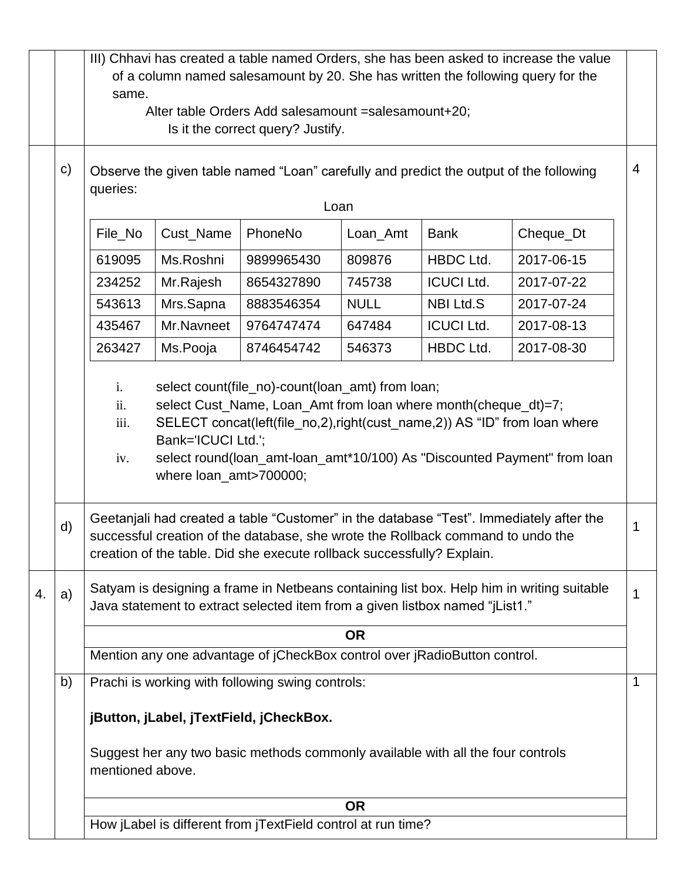|                                                                                                                                                                                                                                                                                               |              | III) Chhavi has created a table named Orders, she has been asked to increase the value              |            |                                                                                                                                                           |             |                   |                                                                                           |   |  |  |  |
|-----------------------------------------------------------------------------------------------------------------------------------------------------------------------------------------------------------------------------------------------------------------------------------------------|--------------|-----------------------------------------------------------------------------------------------------|------------|-----------------------------------------------------------------------------------------------------------------------------------------------------------|-------------|-------------------|-------------------------------------------------------------------------------------------|---|--|--|--|
|                                                                                                                                                                                                                                                                                               |              | of a column named salesamount by 20. She has written the following query for the<br>same.           |            |                                                                                                                                                           |             |                   |                                                                                           |   |  |  |  |
|                                                                                                                                                                                                                                                                                               |              | Alter table Orders Add salesamount = salesamount+20;                                                |            |                                                                                                                                                           |             |                   |                                                                                           |   |  |  |  |
|                                                                                                                                                                                                                                                                                               |              | Is it the correct query? Justify.                                                                   |            |                                                                                                                                                           |             |                   |                                                                                           |   |  |  |  |
|                                                                                                                                                                                                                                                                                               | $\mathbf{C}$ | Observe the given table named "Loan" carefully and predict the output of the following<br>queries:  |            |                                                                                                                                                           |             |                   |                                                                                           |   |  |  |  |
|                                                                                                                                                                                                                                                                                               |              | Loan                                                                                                |            |                                                                                                                                                           |             |                   |                                                                                           |   |  |  |  |
|                                                                                                                                                                                                                                                                                               |              | PhoneNo<br>File_No<br>Cust_Name<br>Cheque_Dt<br>Loan_Amt<br><b>Bank</b>                             |            |                                                                                                                                                           |             |                   |                                                                                           |   |  |  |  |
|                                                                                                                                                                                                                                                                                               |              | 619095                                                                                              | Ms.Roshni  | 9899965430                                                                                                                                                | 809876      | <b>HBDC Ltd.</b>  | 2017-06-15                                                                                |   |  |  |  |
|                                                                                                                                                                                                                                                                                               |              | 234252                                                                                              | Mr.Rajesh  | 8654327890                                                                                                                                                | 745738      | <b>ICUCI Ltd.</b> | 2017-07-22                                                                                |   |  |  |  |
|                                                                                                                                                                                                                                                                                               |              | 543613                                                                                              | Mrs.Sapna  | 8883546354                                                                                                                                                | <b>NULL</b> | <b>NBI Ltd.S</b>  | 2017-07-24                                                                                |   |  |  |  |
|                                                                                                                                                                                                                                                                                               |              | 435467                                                                                              | Mr.Navneet | 9764747474                                                                                                                                                | 647484      | <b>ICUCI Ltd.</b> | 2017-08-13                                                                                |   |  |  |  |
|                                                                                                                                                                                                                                                                                               |              | 263427                                                                                              | Ms.Pooja   | 8746454742                                                                                                                                                | 546373      | <b>HBDC Ltd.</b>  | 2017-08-30                                                                                |   |  |  |  |
| select Cust_Name, Loan_Amt from loan where month(cheque_dt)=7;<br>ii.<br>iii.<br>SELECT concat(left(file_no,2),right(cust_name,2)) AS "ID" from loan where<br>Bank='ICUCI Ltd.';<br>select round(loan_amt-loan_amt*10/100) As "Discounted Payment" from loan<br>iv.<br>where loan_amt>700000; |              |                                                                                                     |            |                                                                                                                                                           |             |                   |                                                                                           |   |  |  |  |
|                                                                                                                                                                                                                                                                                               | d)           |                                                                                                     |            | successful creation of the database, she wrote the Rollback command to undo the<br>creation of the table. Did she execute rollback successfully? Explain. |             |                   | Geetanjali had created a table "Customer" in the database "Test". Immediately after the   | 1 |  |  |  |
| 4.                                                                                                                                                                                                                                                                                            | a)           |                                                                                                     |            | Java statement to extract selected item from a given listbox named "jList1."                                                                              |             |                   | Satyam is designing a frame in Netbeans containing list box. Help him in writing suitable | 1 |  |  |  |
|                                                                                                                                                                                                                                                                                               |              |                                                                                                     |            |                                                                                                                                                           | <b>OR</b>   |                   |                                                                                           |   |  |  |  |
|                                                                                                                                                                                                                                                                                               |              |                                                                                                     |            | Mention any one advantage of jCheckBox control over jRadioButton control.                                                                                 |             |                   |                                                                                           |   |  |  |  |
|                                                                                                                                                                                                                                                                                               | b)           |                                                                                                     |            | Prachi is working with following swing controls:                                                                                                          |             |                   |                                                                                           | 1 |  |  |  |
| jButton, jLabel, jTextField, jCheckBox.                                                                                                                                                                                                                                                       |              |                                                                                                     |            |                                                                                                                                                           |             |                   |                                                                                           |   |  |  |  |
|                                                                                                                                                                                                                                                                                               |              | Suggest her any two basic methods commonly available with all the four controls<br>mentioned above. |            |                                                                                                                                                           |             |                   |                                                                                           |   |  |  |  |
|                                                                                                                                                                                                                                                                                               |              |                                                                                                     |            |                                                                                                                                                           | <b>OR</b>   |                   |                                                                                           |   |  |  |  |
|                                                                                                                                                                                                                                                                                               |              | How jLabel is different from jTextField control at run time?                                        |            |                                                                                                                                                           |             |                   |                                                                                           |   |  |  |  |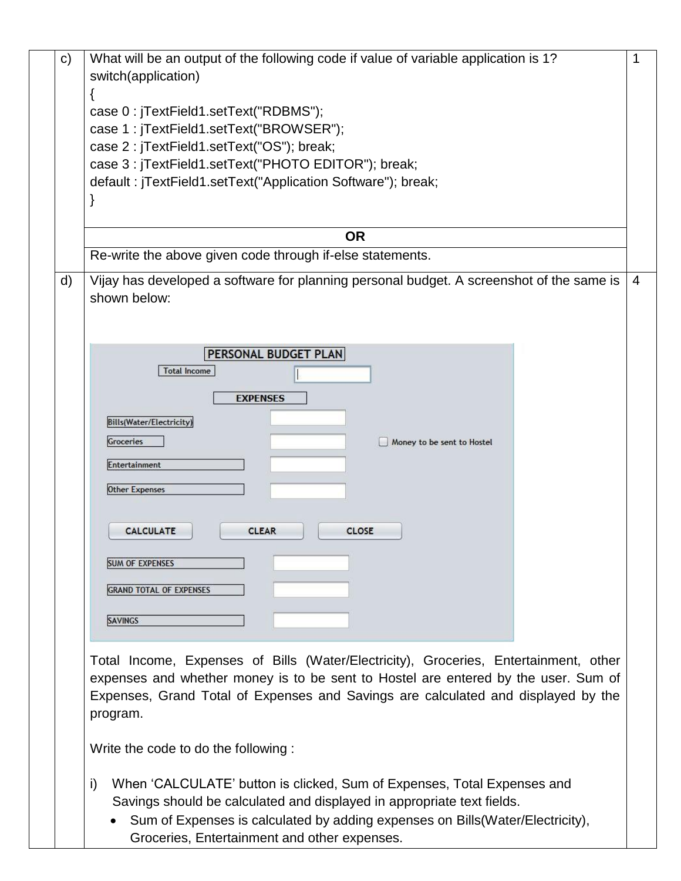| $\mathsf{C}$ | What will be an output of the following code if value of variable application is 1?      |   |
|--------------|------------------------------------------------------------------------------------------|---|
|              | switch(application)                                                                      |   |
|              | case 0: jTextField1.setText("RDBMS");                                                    |   |
|              | case 1: jTextField1.setText("BROWSER");                                                  |   |
|              | case 2 : jTextField1.setText("OS"); break;                                               |   |
|              | case 3 : jTextField1.setText("PHOTO EDITOR"); break;                                     |   |
|              | default: jTextField1.setText("Application Software"); break;                             |   |
|              |                                                                                          |   |
|              |                                                                                          |   |
|              | <b>OR</b>                                                                                |   |
|              | Re-write the above given code through if-else statements.                                |   |
| d)           | Vijay has developed a software for planning personal budget. A screenshot of the same is | 4 |
|              | shown below:                                                                             |   |
|              |                                                                                          |   |
|              |                                                                                          |   |
|              | <b>PERSONAL BUDGET PLAN</b>                                                              |   |
|              | <b>Total Income</b>                                                                      |   |
|              | <b>EXPENSES</b>                                                                          |   |
|              |                                                                                          |   |
|              | <b>Bills(Water/Electricity)</b>                                                          |   |
|              | Groceries<br>Money to be sent to Hostel                                                  |   |
|              | Entertainment                                                                            |   |
|              | <b>Other Expenses</b>                                                                    |   |
|              |                                                                                          |   |
|              |                                                                                          |   |
|              | <b>CALCULATE</b><br><b>CLEAR</b><br><b>CLOSE</b>                                         |   |
|              | <b>SUM OF EXPENSES</b>                                                                   |   |
|              |                                                                                          |   |
|              | <b>GRAND TOTAL OF EXPENSES</b>                                                           |   |
|              | <b>SAVINGS</b>                                                                           |   |
|              |                                                                                          |   |
|              | Total Income, Expenses of Bills (Water/Electricity), Groceries, Entertainment, other     |   |
|              | expenses and whether money is to be sent to Hostel are entered by the user. Sum of       |   |
|              | Expenses, Grand Total of Expenses and Savings are calculated and displayed by the        |   |
|              | program.                                                                                 |   |
|              |                                                                                          |   |
|              | Write the code to do the following:                                                      |   |
|              |                                                                                          |   |

- i) When 'CALCULATE' button is clicked, Sum of Expenses, Total Expenses and Savings should be calculated and displayed in appropriate text fields.
	- Sum of Expenses is calculated by adding expenses on Bills(Water/Electricity), Groceries, Entertainment and other expenses.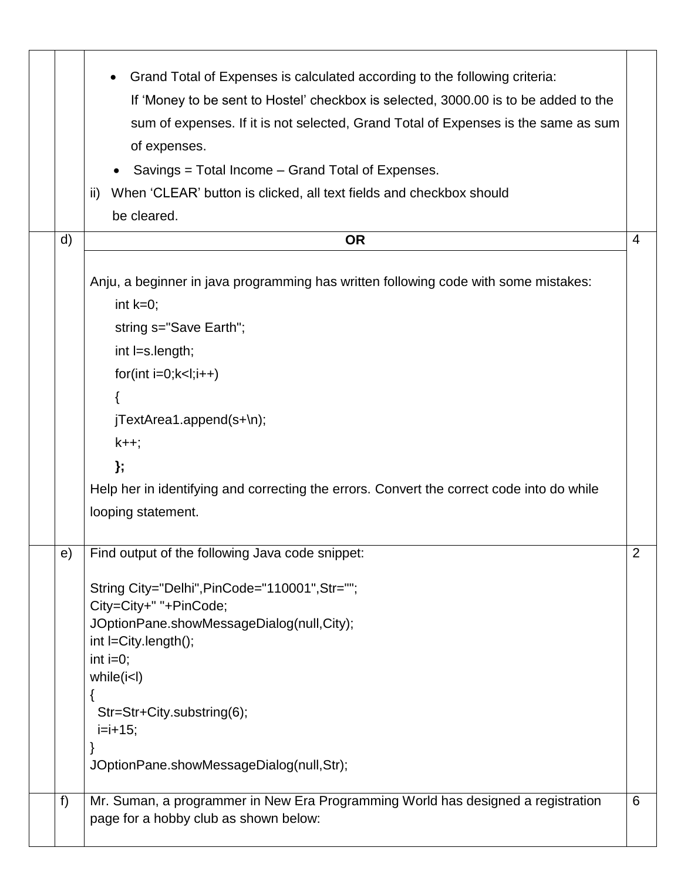|    | Grand Total of Expenses is calculated according to the following criteria:<br>If 'Money to be sent to Hostel' checkbox is selected, 3000.00 is to be added to the<br>sum of expenses. If it is not selected, Grand Total of Expenses is the same as sum<br>of expenses.<br>Savings = Total Income – Grand Total of Expenses.<br>When 'CLEAR' button is clicked, all text fields and checkbox should<br>ii)<br>be cleared. |                |
|----|---------------------------------------------------------------------------------------------------------------------------------------------------------------------------------------------------------------------------------------------------------------------------------------------------------------------------------------------------------------------------------------------------------------------------|----------------|
|    | d)<br><b>OR</b><br>Anju, a beginner in java programming has written following code with some mistakes:<br>int $k=0$ ;<br>string s="Save Earth";<br>int l=s.length;<br>$for(int i=0; k<1; i++)$<br>jTextArea1.append(s+\n);<br>$k++;$<br>};<br>Help her in identifying and correcting the errors. Convert the correct code into do while<br>looping statement.                                                             | $\overline{4}$ |
|    | Find output of the following Java code snippet:<br>e)<br>String City="Delhi", PinCode="110001", Str="";<br>City=City+" "+PinCode;<br>JOptionPane.showMessageDialog(null,City);<br>int l=City.length();<br>int $i=0$ ;<br>while (i <i>l</i> )<br>Str=Str+City.substring(6);<br>$i=i+15$ ;<br>JOptionPane.showMessageDialog(null,Str);                                                                                      | $\overline{2}$ |
| f) | Mr. Suman, a programmer in New Era Programming World has designed a registration<br>page for a hobby club as shown below:                                                                                                                                                                                                                                                                                                 | 6              |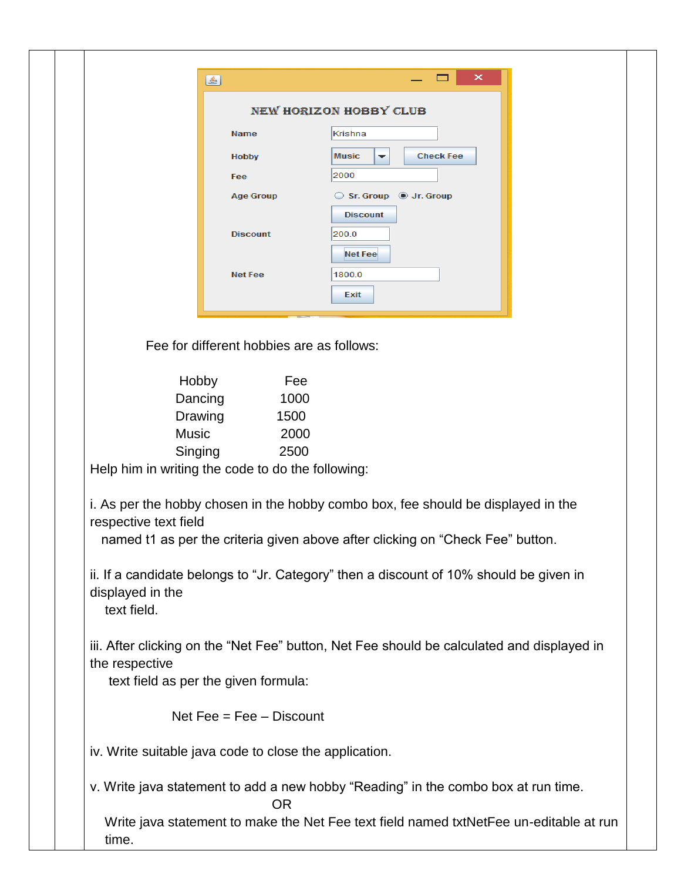| ا کا                                                   |                                                 | ×                                                                                          |  |
|--------------------------------------------------------|-------------------------------------------------|--------------------------------------------------------------------------------------------|--|
|                                                        |                                                 | <b>NEW HORIZON HOBBY CLUB</b>                                                              |  |
|                                                        | <b>Name</b>                                     | Krishna                                                                                    |  |
|                                                        | <b>Hobby</b>                                    | <b>Check Fee</b><br><b>Music</b><br>▼                                                      |  |
|                                                        | Fee                                             | 2000                                                                                       |  |
|                                                        | <b>Age Group</b>                                | Sr. Group @ Jr. Group                                                                      |  |
|                                                        |                                                 | <b>Discount</b>                                                                            |  |
|                                                        | <b>Discount</b>                                 | 200.0                                                                                      |  |
|                                                        |                                                 | <b>Net Fee</b>                                                                             |  |
|                                                        | <b>Net Fee</b>                                  | 1800.0                                                                                     |  |
|                                                        |                                                 | Exit                                                                                       |  |
|                                                        |                                                 |                                                                                            |  |
|                                                        | Fee for different hobbies are as follows:       |                                                                                            |  |
| Hobby                                                  | Fee                                             |                                                                                            |  |
| Dancing                                                | 1000                                            |                                                                                            |  |
| Drawing                                                | 1500                                            |                                                                                            |  |
| <b>Music</b>                                           | 2000                                            |                                                                                            |  |
| Singing                                                | 2500                                            |                                                                                            |  |
| Help him in writing the code to do the following:      |                                                 |                                                                                            |  |
|                                                        |                                                 | i. As per the hobby chosen in the hobby combo box, fee should be displayed in the          |  |
| respective text field                                  |                                                 |                                                                                            |  |
|                                                        |                                                 | named t1 as per the criteria given above after clicking on "Check Fee" button.             |  |
|                                                        |                                                 | ii. If a candidate belongs to "Jr. Category" then a discount of 10% should be given in     |  |
| displayed in the                                       |                                                 |                                                                                            |  |
| text field.                                            |                                                 |                                                                                            |  |
|                                                        |                                                 |                                                                                            |  |
|                                                        |                                                 | iii. After clicking on the "Net Fee" button, Net Fee should be calculated and displayed in |  |
| the respective<br>text field as per the given formula: |                                                 |                                                                                            |  |
|                                                        |                                                 |                                                                                            |  |
|                                                        | Net $\text{Fee} = \text{Fee} - \text{Discount}$ |                                                                                            |  |
| iv. Write suitable java code to close the application. |                                                 |                                                                                            |  |
|                                                        | <b>OR</b>                                       | v. Write java statement to add a new hobby "Reading" in the combo box at run time.         |  |
|                                                        |                                                 | Write java statement to make the Net Fee text field named txtNetFee un-editable at run     |  |
| time.                                                  |                                                 |                                                                                            |  |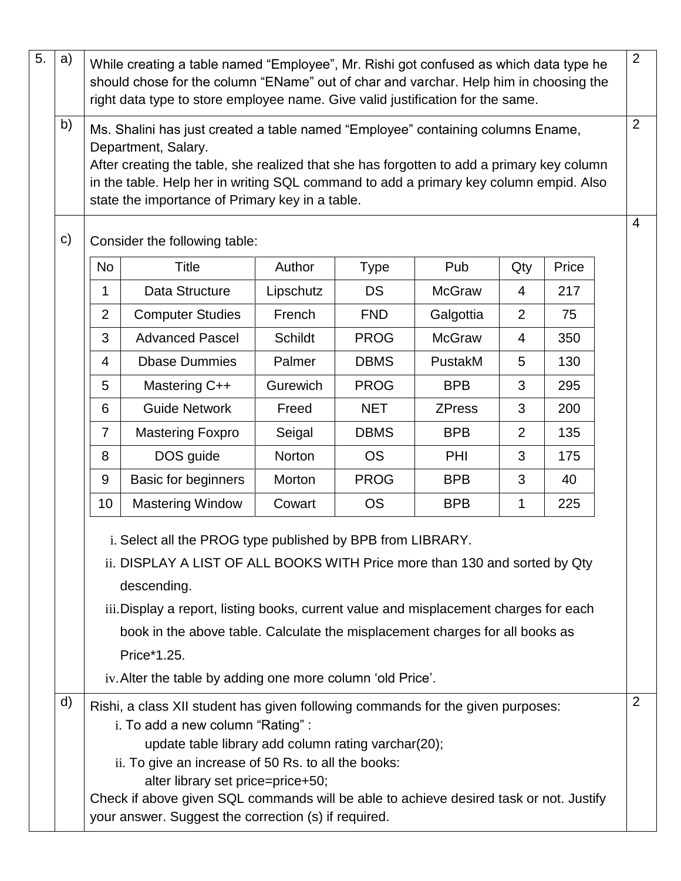| $\overline{5}$ .                                                                                                                                                                                                                                                                                                                                                                                              | a)                                                                                                                                                                                                                                                                                                                                                    | $\overline{2}$<br>While creating a table named "Employee", Mr. Rishi got confused as which data type he<br>should chose for the column "EName" out of char and varchar. Help him in choosing the<br>right data type to store employee name. Give valid justification for the same.<br>2                                                                                                                                  |                         |           |             |               |     |       |                |  |
|---------------------------------------------------------------------------------------------------------------------------------------------------------------------------------------------------------------------------------------------------------------------------------------------------------------------------------------------------------------------------------------------------------------|-------------------------------------------------------------------------------------------------------------------------------------------------------------------------------------------------------------------------------------------------------------------------------------------------------------------------------------------------------|--------------------------------------------------------------------------------------------------------------------------------------------------------------------------------------------------------------------------------------------------------------------------------------------------------------------------------------------------------------------------------------------------------------------------|-------------------------|-----------|-------------|---------------|-----|-------|----------------|--|
|                                                                                                                                                                                                                                                                                                                                                                                                               | b)<br>Ms. Shalini has just created a table named "Employee" containing columns Ename,<br>Department, Salary.<br>After creating the table, she realized that she has forgotten to add a primary key column<br>in the table. Help her in writing SQL command to add a primary key column empid. Also<br>state the importance of Primary key in a table. |                                                                                                                                                                                                                                                                                                                                                                                                                          |                         |           |             |               |     |       |                |  |
|                                                                                                                                                                                                                                                                                                                                                                                                               | $\mathsf{c})$<br>Consider the following table:                                                                                                                                                                                                                                                                                                        |                                                                                                                                                                                                                                                                                                                                                                                                                          |                         |           |             |               |     |       | $\overline{4}$ |  |
|                                                                                                                                                                                                                                                                                                                                                                                                               |                                                                                                                                                                                                                                                                                                                                                       | <b>No</b>                                                                                                                                                                                                                                                                                                                                                                                                                | <b>Title</b>            | Author    | <b>Type</b> | Pub           | Qty | Price |                |  |
|                                                                                                                                                                                                                                                                                                                                                                                                               |                                                                                                                                                                                                                                                                                                                                                       | 1                                                                                                                                                                                                                                                                                                                                                                                                                        | Data Structure          | Lipschutz | <b>DS</b>   | <b>McGraw</b> | 4   | 217   |                |  |
|                                                                                                                                                                                                                                                                                                                                                                                                               |                                                                                                                                                                                                                                                                                                                                                       | $\overline{2}$                                                                                                                                                                                                                                                                                                                                                                                                           | <b>Computer Studies</b> | French    | <b>FND</b>  | Galgottia     | 2   | 75    |                |  |
|                                                                                                                                                                                                                                                                                                                                                                                                               |                                                                                                                                                                                                                                                                                                                                                       | 3                                                                                                                                                                                                                                                                                                                                                                                                                        | <b>Advanced Pascel</b>  | Schildt   | <b>PROG</b> | <b>McGraw</b> | 4   | 350   |                |  |
|                                                                                                                                                                                                                                                                                                                                                                                                               |                                                                                                                                                                                                                                                                                                                                                       | $\overline{4}$                                                                                                                                                                                                                                                                                                                                                                                                           | <b>Dbase Dummies</b>    | Palmer    | <b>DBMS</b> | PustakM       | 5   | 130   |                |  |
|                                                                                                                                                                                                                                                                                                                                                                                                               |                                                                                                                                                                                                                                                                                                                                                       | 5                                                                                                                                                                                                                                                                                                                                                                                                                        | Mastering C++           | Gurewich  | <b>PROG</b> | <b>BPB</b>    | 3   | 295   |                |  |
|                                                                                                                                                                                                                                                                                                                                                                                                               |                                                                                                                                                                                                                                                                                                                                                       | 6                                                                                                                                                                                                                                                                                                                                                                                                                        | <b>Guide Network</b>    | Freed     | <b>NET</b>  | <b>ZPress</b> | 3   | 200   |                |  |
|                                                                                                                                                                                                                                                                                                                                                                                                               |                                                                                                                                                                                                                                                                                                                                                       | $\overline{7}$                                                                                                                                                                                                                                                                                                                                                                                                           | <b>Mastering Foxpro</b> | Seigal    | <b>DBMS</b> | <b>BPB</b>    | 2   | 135   |                |  |
|                                                                                                                                                                                                                                                                                                                                                                                                               |                                                                                                                                                                                                                                                                                                                                                       | 8                                                                                                                                                                                                                                                                                                                                                                                                                        | DOS guide               | Norton    | <b>OS</b>   | <b>PHI</b>    | 3   | 175   |                |  |
|                                                                                                                                                                                                                                                                                                                                                                                                               |                                                                                                                                                                                                                                                                                                                                                       | 9                                                                                                                                                                                                                                                                                                                                                                                                                        | Basic for beginners     | Morton    | <b>PROG</b> | <b>BPB</b>    | 3   | 40    |                |  |
|                                                                                                                                                                                                                                                                                                                                                                                                               |                                                                                                                                                                                                                                                                                                                                                       | 10                                                                                                                                                                                                                                                                                                                                                                                                                       | <b>Mastering Window</b> | Cowart    | <b>OS</b>   | <b>BPB</b>    | 1   | 225   |                |  |
| i. Select all the PROG type published by BPB from LIBRARY.<br>ii. DISPLAY A LIST OF ALL BOOKS WITH Price more than 130 and sorted by Qty<br>descending.<br>iii. Display a report, listing books, current value and misplacement charges for each<br>book in the above table. Calculate the misplacement charges for all books as<br>Price*1.25.<br>iv. Alter the table by adding one more column 'old Price'. |                                                                                                                                                                                                                                                                                                                                                       |                                                                                                                                                                                                                                                                                                                                                                                                                          |                         |           |             |               |     |       |                |  |
|                                                                                                                                                                                                                                                                                                                                                                                                               | d)                                                                                                                                                                                                                                                                                                                                                    | Rishi, a class XII student has given following commands for the given purposes:<br>i. To add a new column "Rating":<br>update table library add column rating varchar(20);<br>ii. To give an increase of 50 Rs. to all the books:<br>alter library set price=price+50;<br>Check if above given SQL commands will be able to achieve desired task or not. Justify<br>your answer. Suggest the correction (s) if required. |                         |           |             |               |     | 2     |                |  |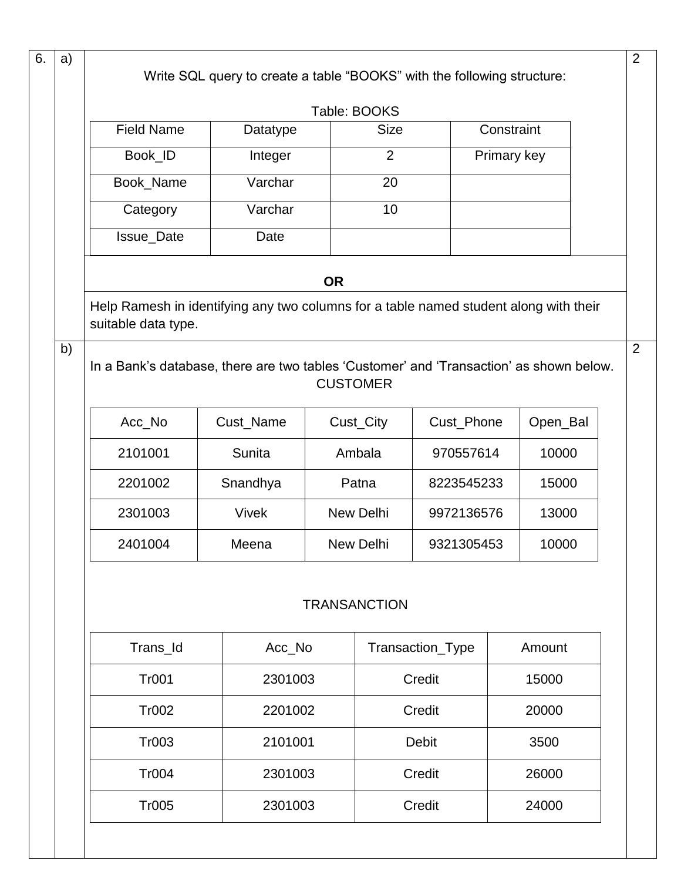| a)                                     |                                                                                                              | Write SQL query to create a table "BOOKS" with the following structure: |           |                     |              |                |          |  |
|----------------------------------------|--------------------------------------------------------------------------------------------------------------|-------------------------------------------------------------------------|-----------|---------------------|--------------|----------------|----------|--|
|                                        |                                                                                                              |                                                                         |           | Table: BOOKS        |              |                |          |  |
|                                        | <b>Field Name</b>                                                                                            | Datatype                                                                |           | <b>Size</b>         |              | Constraint     |          |  |
|                                        | Book_ID                                                                                                      | Integer                                                                 |           | $\overline{2}$      |              | Primary key    |          |  |
|                                        | Book_Name                                                                                                    | Varchar                                                                 |           | 20                  |              |                |          |  |
|                                        | Category                                                                                                     | Varchar                                                                 |           | 10                  |              |                |          |  |
|                                        | <b>Issue_Date</b>                                                                                            | Date                                                                    |           |                     |              |                |          |  |
|                                        |                                                                                                              |                                                                         | <b>OR</b> |                     |              |                |          |  |
|                                        | Help Ramesh in identifying any two columns for a table named student along with their<br>suitable data type. |                                                                         |           |                     |              |                |          |  |
| b)                                     | In a Bank's database, there are two tables 'Customer' and 'Transaction' as shown below.                      |                                                                         |           | <b>CUSTOMER</b>     |              |                |          |  |
|                                        | Acc_No                                                                                                       | Cust_Name                                                               |           | Cust_City           | Cust_Phone   |                | Open_Bal |  |
|                                        | 2101001                                                                                                      | Sunita                                                                  |           | Ambala              | 970557614    |                | 10000    |  |
|                                        | 2201002                                                                                                      | Snandhya                                                                |           | Patna               | 8223545233   |                | 15000    |  |
|                                        | 2301003                                                                                                      | <b>Vivek</b>                                                            |           | New Delhi           | 9972136576   |                | 13000    |  |
|                                        | 2401004                                                                                                      | Meena                                                                   |           | New Delhi           | 9321305453   |                | 10000    |  |
|                                        |                                                                                                              |                                                                         |           | <b>TRANSANCTION</b> |              |                |          |  |
| Trans_Id<br>Acc_No<br>Transaction_Type |                                                                                                              |                                                                         |           |                     | Amount       |                |          |  |
|                                        | <b>Tr001</b>                                                                                                 | 2301003                                                                 |           | Credit<br>Credit    |              | 15000<br>20000 |          |  |
|                                        | <b>Tr002</b>                                                                                                 | 2201002                                                                 |           |                     |              |                |          |  |
|                                        | Tr003                                                                                                        | 2101001                                                                 |           |                     | <b>Debit</b> | 3500           |          |  |
|                                        | <b>Tr004</b>                                                                                                 | 2301003                                                                 |           | Credit              |              |                | 26000    |  |
|                                        | <b>Tr005</b>                                                                                                 | 2301003                                                                 |           |                     | Credit       |                | 24000    |  |